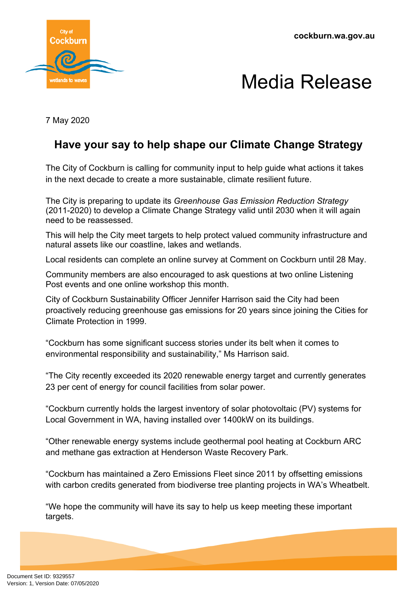**cockburn.wa.gov.au**



## Media Release

7 May 2020

## **Have your say to help shape our Climate Change Strategy**

The City of Cockburn is calling for community input to help guide what actions it takes in the next decade to create a more sustainable, climate resilient future.

The City is preparing to update its *Greenhouse Gas Emission Reduction Strategy* (2011-2020) to develop a Climate Change Strategy valid until 2030 when it will again need to be reassessed.

This will help the City meet targets to help protect valued community infrastructure and natural assets like our coastline, lakes and wetlands.

Local residents can complete an online survey at Comment on Cockburn until 28 May.

Community members are also encouraged to ask questions at two online Listening Post events and one online workshop this month.

City of Cockburn Sustainability Officer Jennifer Harrison said the City had been proactively reducing greenhouse gas emissions for 20 years since joining the Cities for Climate Protection in 1999.

"Cockburn has some significant success stories under its belt when it comes to environmental responsibility and sustainability," Ms Harrison said.

"The City recently exceeded its 2020 renewable energy target and currently generates 23 per cent of energy for council facilities from solar power.

"Cockburn currently holds the largest inventory of solar photovoltaic (PV) systems for Local Government in WA, having installed over 1400kW on its buildings.

"Other renewable energy systems include geothermal pool heating at Cockburn ARC and methane gas extraction at Henderson Waste Recovery Park.

"Cockburn has maintained a Zero Emissions Fleet since 2011 by offsetting emissions with carbon credits generated from biodiverse tree planting projects in WA's Wheatbelt.

"We hope the community will have its say to help us keep meeting these important targets.